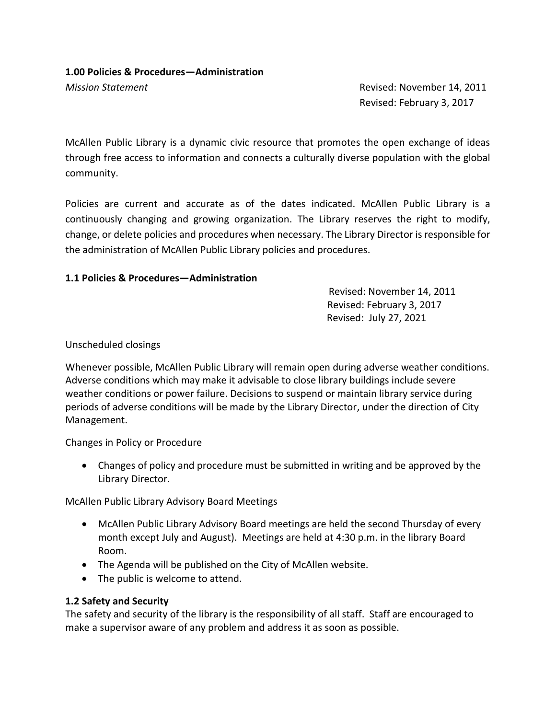#### **1.00 Policies & Procedures—Administration**

*Mission Statement* Revised: November 14, 2011 Revised: February 3, 2017

McAllen Public Library is a dynamic civic resource that promotes the open exchange of ideas through free access to information and connects a culturally diverse population with the global community.

Policies are current and accurate as of the dates indicated. McAllen Public Library is a continuously changing and growing organization. The Library reserves the right to modify, change, or delete policies and procedures when necessary. The Library Director is responsible for the administration of McAllen Public Library policies and procedures.

#### **1.1 Policies & Procedures—Administration**

Revised: November 14, 2011 Revised: February 3, 2017 Revised: July 27, 2021

Unscheduled closings

Whenever possible, McAllen Public Library will remain open during adverse weather conditions. Adverse conditions which may make it advisable to close library buildings include severe weather conditions or power failure. Decisions to suspend or maintain library service during periods of adverse conditions will be made by the Library Director, under the direction of City Management.

Changes in Policy or Procedure

 Changes of policy and procedure must be submitted in writing and be approved by the Library Director.

McAllen Public Library Advisory Board Meetings

- McAllen Public Library Advisory Board meetings are held the second Thursday of every month except July and August). Meetings are held at 4:30 p.m. in the library Board Room.
- The Agenda will be published on the City of McAllen website.
- The public is welcome to attend.

# **1.2 Safety and Security**

The safety and security of the library is the responsibility of all staff. Staff are encouraged to make a supervisor aware of any problem and address it as soon as possible.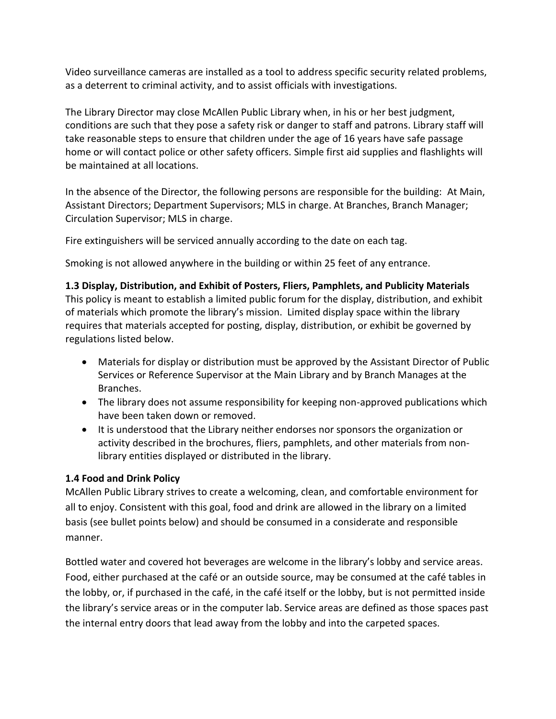Video surveillance cameras are installed as a tool to address specific security related problems, as a deterrent to criminal activity, and to assist officials with investigations.

The Library Director may close McAllen Public Library when, in his or her best judgment, conditions are such that they pose a safety risk or danger to staff and patrons. Library staff will take reasonable steps to ensure that children under the age of 16 years have safe passage home or will contact police or other safety officers. Simple first aid supplies and flashlights will be maintained at all locations.

In the absence of the Director, the following persons are responsible for the building: At Main, Assistant Directors; Department Supervisors; MLS in charge. At Branches, Branch Manager; Circulation Supervisor; MLS in charge.

Fire extinguishers will be serviced annually according to the date on each tag.

Smoking is not allowed anywhere in the building or within 25 feet of any entrance.

**1.3 Display, Distribution, and Exhibit of Posters, Fliers, Pamphlets, and Publicity Materials** This policy is meant to establish a limited public forum for the display, distribution, and exhibit of materials which promote the library's mission. Limited display space within the library requires that materials accepted for posting, display, distribution, or exhibit be governed by regulations listed below.

- Materials for display or distribution must be approved by the Assistant Director of Public Services or Reference Supervisor at the Main Library and by Branch Manages at the Branches.
- The library does not assume responsibility for keeping non-approved publications which have been taken down or removed.
- It is understood that the Library neither endorses nor sponsors the organization or activity described in the brochures, fliers, pamphlets, and other materials from nonlibrary entities displayed or distributed in the library.

# **1.4 Food and Drink Policy**

McAllen Public Library strives to create a welcoming, clean, and comfortable environment for all to enjoy. Consistent with this goal, food and drink are allowed in the library on a limited basis (see bullet points below) and should be consumed in a considerate and responsible manner.

Bottled water and covered hot beverages are welcome in the library's lobby and service areas. Food, either purchased at the café or an outside source, may be consumed at the café tables in the lobby, or, if purchased in the café, in the café itself or the lobby, but is not permitted inside the library's service areas or in the computer lab. Service areas are defined as those spaces past the internal entry doors that lead away from the lobby and into the carpeted spaces.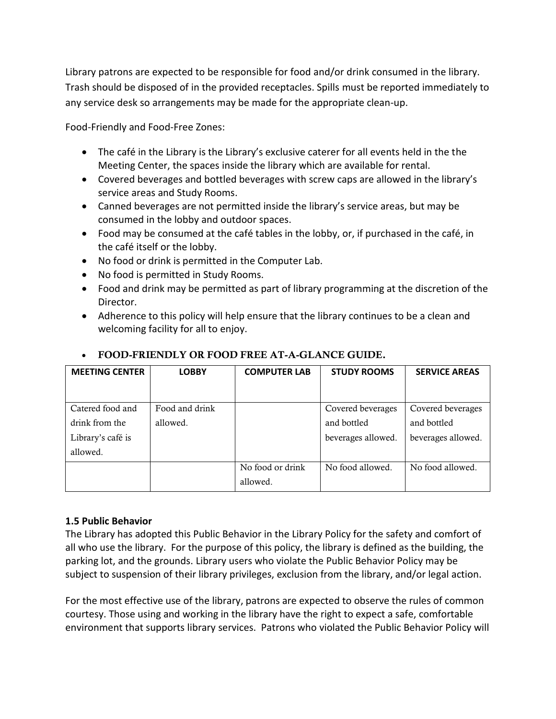Library patrons are expected to be responsible for food and/or drink consumed in the library. Trash should be disposed of in the provided receptacles. Spills must be reported immediately to any service desk so arrangements may be made for the appropriate clean-up.

Food-Friendly and Food-Free Zones:

- The café in the Library is the Library's exclusive caterer for all events held in the the Meeting Center, the spaces inside the library which are available for rental.
- Covered beverages and bottled beverages with screw caps are allowed in the library's service areas and Study Rooms.
- Canned beverages are not permitted inside the library's service areas, but may be consumed in the lobby and outdoor spaces.
- Food may be consumed at the café tables in the lobby, or, if purchased in the café, in the café itself or the lobby.
- No food or drink is permitted in the Computer Lab.
- No food is permitted in Study Rooms.
- Food and drink may be permitted as part of library programming at the discretion of the Director.
- Adherence to this policy will help ensure that the library continues to be a clean and welcoming facility for all to enjoy.

| <b>MEETING CENTER</b> | <b>LOBBY</b>   | <b>COMPUTER LAB</b> | <b>STUDY ROOMS</b> | <b>SERVICE AREAS</b> |
|-----------------------|----------------|---------------------|--------------------|----------------------|
|                       |                |                     |                    |                      |
| Catered food and      | Food and drink |                     | Covered beverages  | Covered beverages    |
| drink from the        | allowed.       |                     | and bottled        | and bottled          |
| Library's café is     |                |                     | beverages allowed. | beverages allowed.   |
| allowed.              |                |                     |                    |                      |
|                       |                | No food or drink    | No food allowed.   | No food allowed.     |
|                       |                | allowed.            |                    |                      |

# **FOOD-FRIENDLY OR FOOD FREE AT-A-GLANCE GUIDE.**

# **1.5 Public Behavior**

The Library has adopted this Public Behavior in the Library Policy for the safety and comfort of all who use the library. For the purpose of this policy, the library is defined as the building, the parking lot, and the grounds. Library users who violate the Public Behavior Policy may be subject to suspension of their library privileges, exclusion from the library, and/or legal action.

For the most effective use of the library, patrons are expected to observe the rules of common courtesy. Those using and working in the library have the right to expect a safe, comfortable environment that supports library services. Patrons who violated the Public Behavior Policy will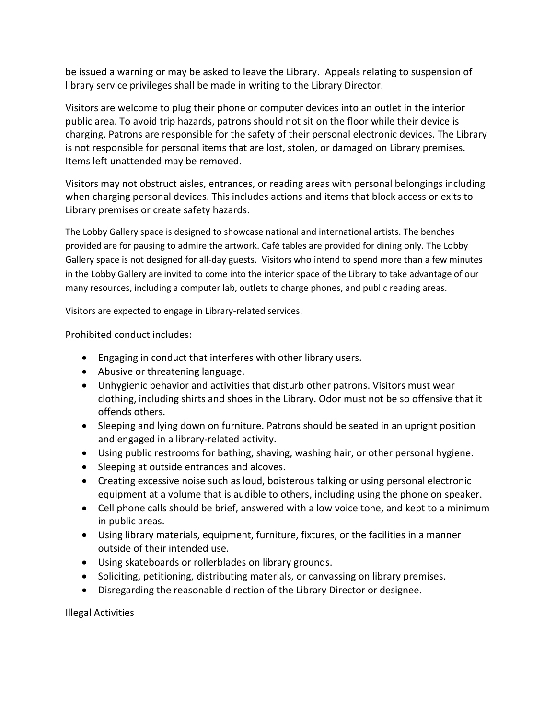be issued a warning or may be asked to leave the Library. Appeals relating to suspension of library service privileges shall be made in writing to the Library Director.

Visitors are welcome to plug their phone or computer devices into an outlet in the interior public area. To avoid trip hazards, patrons should not sit on the floor while their device is charging. Patrons are responsible for the safety of their personal electronic devices. The Library is not responsible for personal items that are lost, stolen, or damaged on Library premises. Items left unattended may be removed.

Visitors may not obstruct aisles, entrances, or reading areas with personal belongings including when charging personal devices. This includes actions and items that block access or exits to Library premises or create safety hazards.

The Lobby Gallery space is designed to showcase national and international artists. The benches provided are for pausing to admire the artwork. Café tables are provided for dining only. The Lobby Gallery space is not designed for all-day guests. Visitors who intend to spend more than a few minutes in the Lobby Gallery are invited to come into the interior space of the Library to take advantage of our many resources, including a computer lab, outlets to charge phones, and public reading areas.

Visitors are expected to engage in Library-related services.

Prohibited conduct includes:

- Engaging in conduct that interferes with other library users.
- Abusive or threatening language.
- Unhygienic behavior and activities that disturb other patrons. Visitors must wear clothing, including shirts and shoes in the Library. Odor must not be so offensive that it offends others.
- Sleeping and lying down on furniture. Patrons should be seated in an upright position and engaged in a library-related activity.
- Using public restrooms for bathing, shaving, washing hair, or other personal hygiene.
- Sleeping at outside entrances and alcoves.
- Creating excessive noise such as loud, boisterous talking or using personal electronic equipment at a volume that is audible to others, including using the phone on speaker.
- Cell phone calls should be brief, answered with a low voice tone, and kept to a minimum in public areas.
- Using library materials, equipment, furniture, fixtures, or the facilities in a manner outside of their intended use.
- Using skateboards or rollerblades on library grounds.
- Soliciting, petitioning, distributing materials, or canvassing on library premises.
- Disregarding the reasonable direction of the Library Director or designee.

Illegal Activities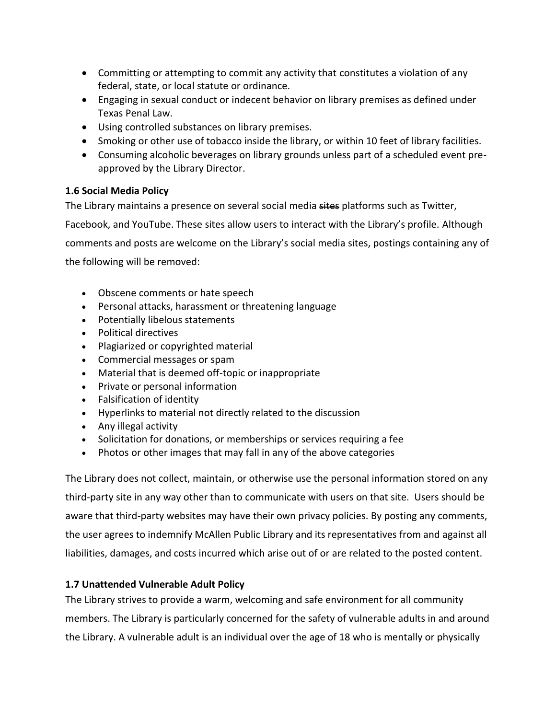- Committing or attempting to commit any activity that constitutes a violation of any federal, state, or local statute or ordinance.
- Engaging in sexual conduct or indecent behavior on library premises as defined under Texas Penal Law.
- Using controlled substances on library premises.
- Smoking or other use of tobacco inside the library, or within 10 feet of library facilities.
- Consuming alcoholic beverages on library grounds unless part of a scheduled event preapproved by the Library Director.

# **1.6 Social Media Policy**

The Library maintains a presence on several social media sites platforms such as Twitter, Facebook, and YouTube. These sites allow users to interact with the Library's profile. Although comments and posts are welcome on the Library's social media sites, postings containing any of the following will be removed:

- Obscene comments or hate speech
- Personal attacks, harassment or threatening language
- Potentially libelous statements
- Political directives
- Plagiarized or copyrighted material
- Commercial messages or spam
- Material that is deemed off-topic or inappropriate
- Private or personal information
- Falsification of identity
- Hyperlinks to material not directly related to the discussion
- Any illegal activity
- Solicitation for donations, or memberships or services requiring a fee
- Photos or other images that may fall in any of the above categories

The Library does not collect, maintain, or otherwise use the personal information stored on any third-party site in any way other than to communicate with users on that site. Users should be aware that third-party websites may have their own privacy policies. By posting any comments, the user agrees to indemnify McAllen Public Library and its representatives from and against all liabilities, damages, and costs incurred which arise out of or are related to the posted content.

# **1.7 Unattended Vulnerable Adult Policy**

The Library strives to provide a warm, welcoming and safe environment for all community members. The Library is particularly concerned for the safety of vulnerable adults in and around the Library. A vulnerable adult is an individual over the age of 18 who is mentally or physically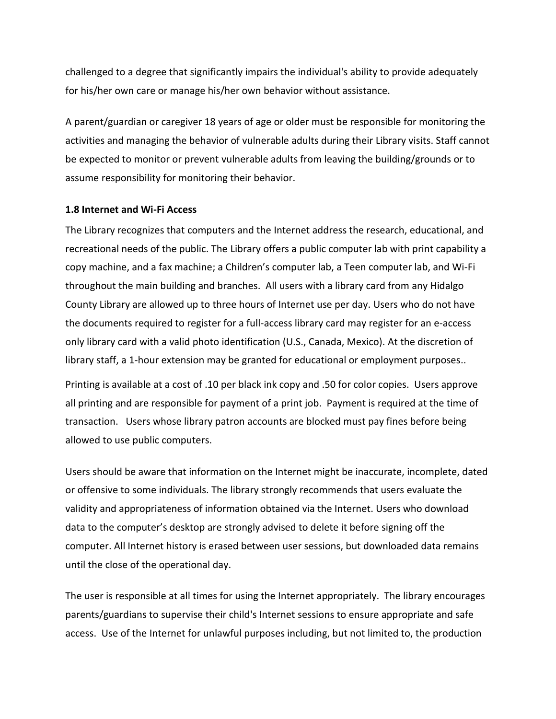challenged to a degree that significantly impairs the individual's ability to provide adequately for his/her own care or manage his/her own behavior without assistance.

A parent/guardian or caregiver 18 years of age or older must be responsible for monitoring the activities and managing the behavior of vulnerable adults during their Library visits. Staff cannot be expected to monitor or prevent vulnerable adults from leaving the building/grounds or to assume responsibility for monitoring their behavior.

#### **1.8 Internet and Wi-Fi Access**

The Library recognizes that computers and the Internet address the research, educational, and recreational needs of the public. The Library offers a public computer lab with print capability a copy machine, and a fax machine; a Children's computer lab, a Teen computer lab, and Wi-Fi throughout the main building and branches. All users with a library card from any Hidalgo County Library are allowed up to three hours of Internet use per day. Users who do not have the documents required to register for a full-access library card may register for an e-access only library card with a valid photo identification (U.S., Canada, Mexico). At the discretion of library staff, a 1-hour extension may be granted for educational or employment purposes..

Printing is available at a cost of .10 per black ink copy and .50 for color copies. Users approve all printing and are responsible for payment of a print job. Payment is required at the time of transaction. Users whose library patron accounts are blocked must pay fines before being allowed to use public computers.

Users should be aware that information on the Internet might be inaccurate, incomplete, dated or offensive to some individuals. The library strongly recommends that users evaluate the validity and appropriateness of information obtained via the Internet. Users who download data to the computer's desktop are strongly advised to delete it before signing off the computer. All Internet history is erased between user sessions, but downloaded data remains until the close of the operational day.

The user is responsible at all times for using the Internet appropriately. The library encourages parents/guardians to supervise their child's Internet sessions to ensure appropriate and safe access. Use of the Internet for unlawful purposes including, but not limited to, the production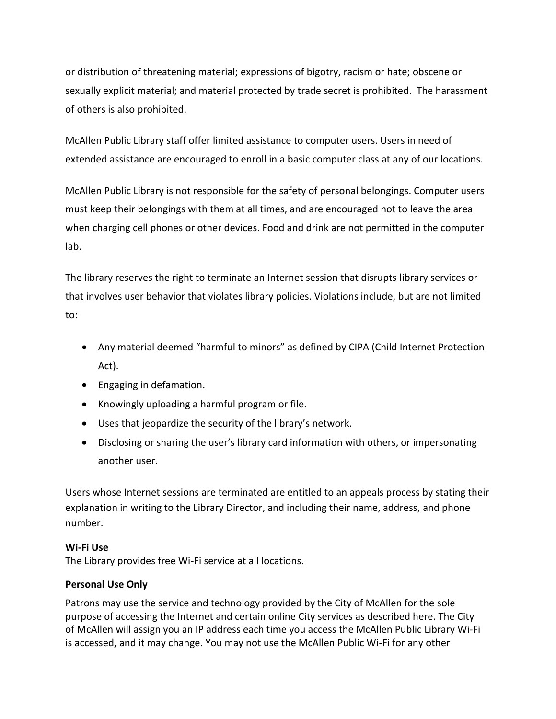or distribution of threatening material; expressions of bigotry, racism or hate; obscene or sexually explicit material; and material protected by trade secret is prohibited. The harassment of others is also prohibited.

McAllen Public Library staff offer limited assistance to computer users. Users in need of extended assistance are encouraged to enroll in a basic computer class at any of our locations.

McAllen Public Library is not responsible for the safety of personal belongings. Computer users must keep their belongings with them at all times, and are encouraged not to leave the area when charging cell phones or other devices. Food and drink are not permitted in the computer lab.

The library reserves the right to terminate an Internet session that disrupts library services or that involves user behavior that violates library policies. Violations include, but are not limited to:

- Any material deemed "harmful to minors" as defined by CIPA (Child Internet Protection Act).
- **•** Engaging in defamation.
- Knowingly uploading a harmful program or file.
- Uses that jeopardize the security of the library's network.
- Disclosing or sharing the user's library card information with others, or impersonating another user.

Users whose Internet sessions are terminated are entitled to an appeals process by stating their explanation in writing to the Library Director, and including their name, address, and phone number.

# **Wi-Fi Use**

The Library provides free Wi-Fi service at all locations.

# **Personal Use Only**

Patrons may use the service and technology provided by the City of McAllen for the sole purpose of accessing the Internet and certain online City services as described here. The City of McAllen will assign you an IP address each time you access the McAllen Public Library Wi-Fi is accessed, and it may change. You may not use the McAllen Public Wi-Fi for any other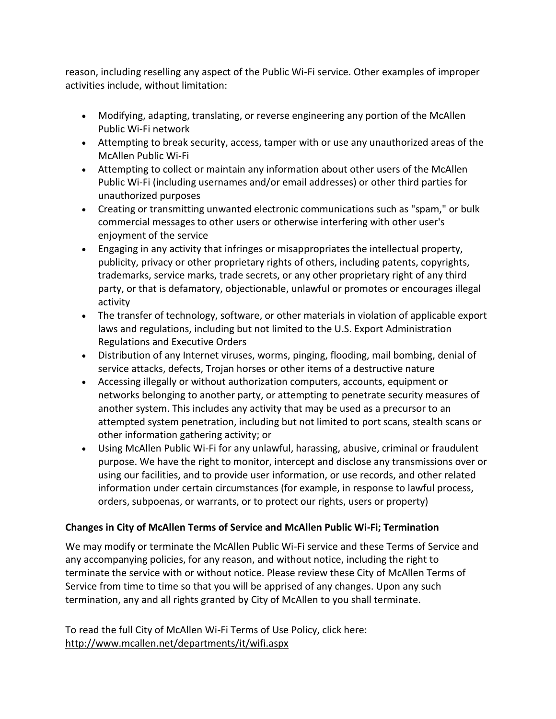reason, including reselling any aspect of the Public Wi-Fi service. Other examples of improper activities include, without limitation:

- Modifying, adapting, translating, or reverse engineering any portion of the McAllen Public Wi-Fi network
- Attempting to break security, access, tamper with or use any unauthorized areas of the McAllen Public Wi-Fi
- Attempting to collect or maintain any information about other users of the McAllen Public Wi-Fi (including usernames and/or email addresses) or other third parties for unauthorized purposes
- Creating or transmitting unwanted electronic communications such as "spam," or bulk commercial messages to other users or otherwise interfering with other user's enjoyment of the service
- Engaging in any activity that infringes or misappropriates the intellectual property, publicity, privacy or other proprietary rights of others, including patents, copyrights, trademarks, service marks, trade secrets, or any other proprietary right of any third party, or that is defamatory, objectionable, unlawful or promotes or encourages illegal activity
- The transfer of technology, software, or other materials in violation of applicable export laws and regulations, including but not limited to the U.S. Export Administration Regulations and Executive Orders
- Distribution of any Internet viruses, worms, pinging, flooding, mail bombing, denial of service attacks, defects, Trojan horses or other items of a destructive nature
- Accessing illegally or without authorization computers, accounts, equipment or networks belonging to another party, or attempting to penetrate security measures of another system. This includes any activity that may be used as a precursor to an attempted system penetration, including but not limited to port scans, stealth scans or other information gathering activity; or
- Using McAllen Public Wi-Fi for any unlawful, harassing, abusive, criminal or fraudulent purpose. We have the right to monitor, intercept and disclose any transmissions over or using our facilities, and to provide user information, or use records, and other related information under certain circumstances (for example, in response to lawful process, orders, subpoenas, or warrants, or to protect our rights, users or property)

# **Changes in City of McAllen Terms of Service and McAllen Public Wi-Fi; Termination**

We may modify or terminate the McAllen Public Wi-Fi service and these Terms of Service and any accompanying policies, for any reason, and without notice, including the right to terminate the service with or without notice. Please review these City of McAllen Terms of Service from time to time so that you will be apprised of any changes. Upon any such termination, any and all rights granted by City of McAllen to you shall terminate.

To read the full City of McAllen Wi-Fi Terms of Use Policy, click here: <http://www.mcallen.net/departments/it/wifi.aspx>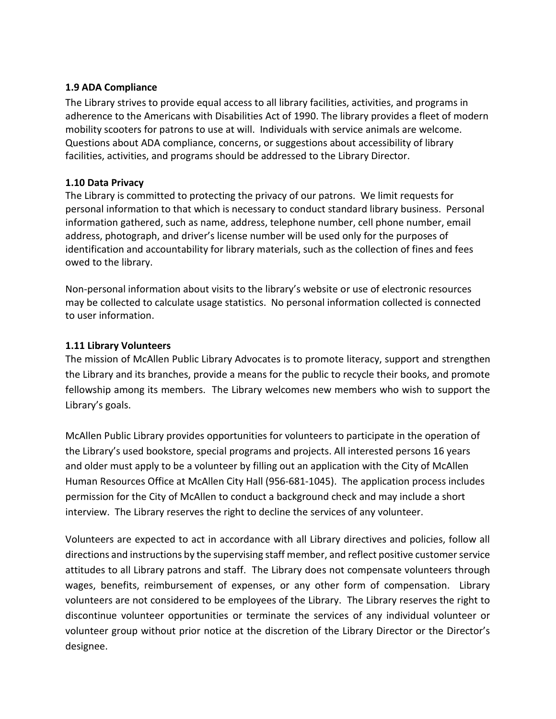#### **1.9 ADA Compliance**

The Library strives to provide equal access to all library facilities, activities, and programs in adherence to the Americans with Disabilities Act of 1990. The library provides a fleet of modern mobility scooters for patrons to use at will. Individuals with service animals are welcome. Questions about ADA compliance, concerns, or suggestions about accessibility of library facilities, activities, and programs should be addressed to the Library Director.

#### **1.10 Data Privacy**

The Library is committed to protecting the privacy of our patrons. We limit requests for personal information to that which is necessary to conduct standard library business. Personal information gathered, such as name, address, telephone number, cell phone number, email address, photograph, and driver's license number will be used only for the purposes of identification and accountability for library materials, such as the collection of fines and fees owed to the library.

Non-personal information about visits to the library's website or use of electronic resources may be collected to calculate usage statistics. No personal information collected is connected to user information.

#### **1.11 Library Volunteers**

The mission of McAllen Public Library Advocates is to promote literacy, support and strengthen the Library and its branches, provide a means for the public to recycle their books, and promote fellowship among its members.The Library welcomes new members who wish to support the Library's goals.

McAllen Public Library provides opportunities for volunteers to participate in the operation of the Library's used bookstore, special programs and projects. All interested persons 16 years and older must apply to be a volunteer by filling out an application with the City of McAllen Human Resources Office at McAllen City Hall (956-681-1045). The application process includes permission for the City of McAllen to conduct a background check and may include a short interview. The Library reserves the right to decline the services of any volunteer.

Volunteers are expected to act in accordance with all Library directives and policies, follow all directions and instructions by the supervising staff member, and reflect positive customer service attitudes to all Library patrons and staff. The Library does not compensate volunteers through wages, benefits, reimbursement of expenses, or any other form of compensation. Library volunteers are not considered to be employees of the Library. The Library reserves the right to discontinue volunteer opportunities or terminate the services of any individual volunteer or volunteer group without prior notice at the discretion of the Library Director or the Director's designee.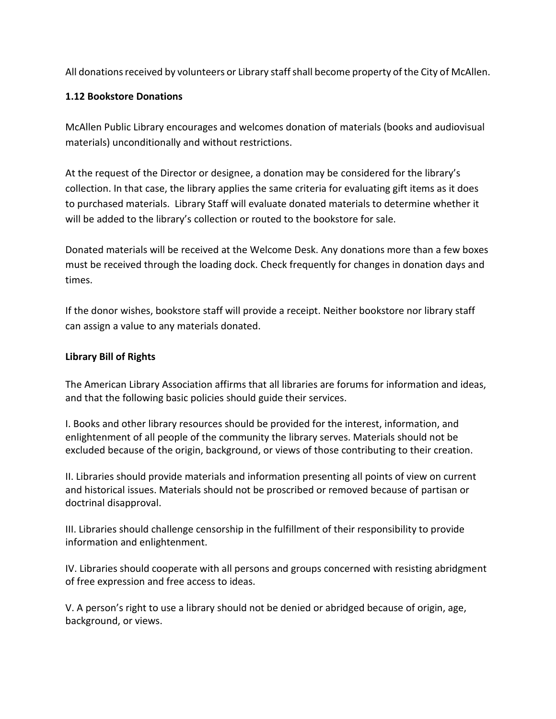All donations received by volunteers or Library staff shall become property of the City of McAllen.

#### **1.12 Bookstore Donations**

McAllen Public Library encourages and welcomes donation of materials (books and audiovisual materials) unconditionally and without restrictions.

At the request of the Director or designee, a donation may be considered for the library's collection. In that case, the library applies the same criteria for evaluating gift items as it does to purchased materials. Library Staff will evaluate donated materials to determine whether it will be added to the library's collection or routed to the bookstore for sale.

Donated materials will be received at the Welcome Desk. Any donations more than a few boxes must be received through the loading dock. Check frequently for changes in donation days and times.

If the donor wishes, bookstore staff will provide a receipt. Neither bookstore nor library staff can assign a value to any materials donated.

#### **Library Bill of Rights**

The American Library Association affirms that all libraries are forums for information and ideas, and that the following basic policies should guide their services.

I. Books and other library resources should be provided for the interest, information, and enlightenment of all people of the community the library serves. Materials should not be excluded because of the origin, background, or views of those contributing to their creation.

II. Libraries should provide materials and information presenting all points of view on current and historical issues. Materials should not be proscribed or removed because of partisan or doctrinal disapproval.

III. Libraries should challenge censorship in the fulfillment of their responsibility to provide information and enlightenment.

IV. Libraries should cooperate with all persons and groups concerned with resisting abridgment of free expression and free access to ideas.

V. A person's right to use a library should not be denied or abridged because of origin, age, background, or views.